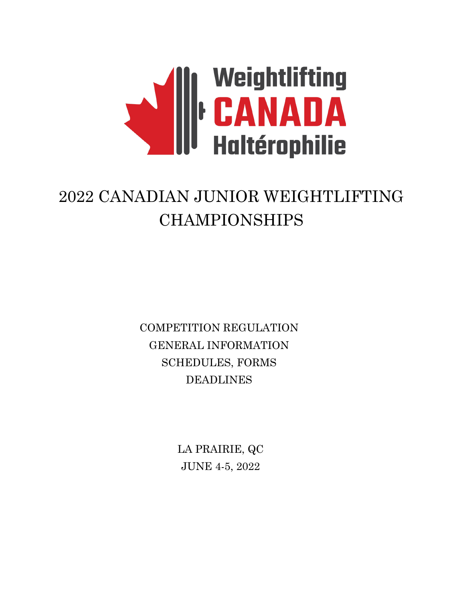

# 2022 CANADIAN JUNIOR WEIGHTLIFTING CHAMPIONSHIPS

COMPETITION REGULATION GENERAL INFORMATION SCHEDULES, FORMS DEADLINES

> LA PRAIRIE, QC JUNE 4-5, 2022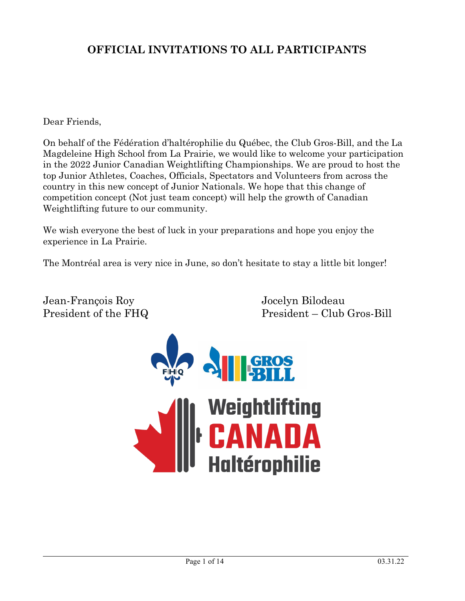## **OFFICIAL INVITATIONS TO ALL PARTICIPANTS**

## Dear Friends,

On behalf of the Fédération d'haltérophilie du Québec, the Club Gros-Bill, and the La Magdeleine High School from La Prairie, we would like to welcome your participation in the 2022 Junior Canadian Weightlifting Championships. We are proud to host the top Junior Athletes, Coaches, Officials, Spectators and Volunteers from across the country in this new concept of Junior Nationals. We hope that this change of competition concept (Not just team concept) will help the growth of Canadian Weightlifting future to our community.

We wish everyone the best of luck in your preparations and hope you enjoy the experience in La Prairie.

The Montréal area is very nice in June, so don't hesitate to stay a little bit longer!

Jean-François Roy Jocelyn Bilodeau

President of the FHQ President – Club Gros-Bill

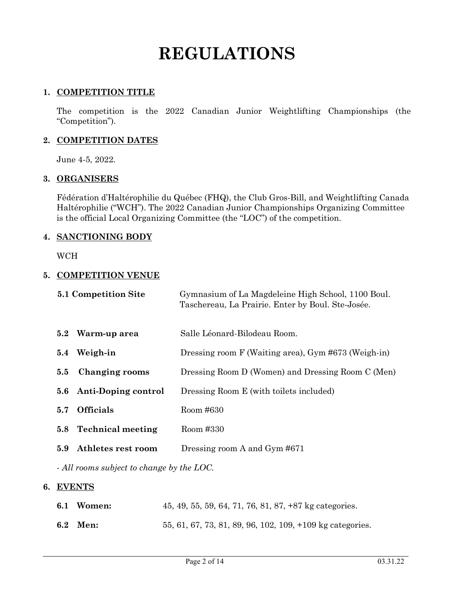# **REGULATIONS**

## **1. COMPETITION TITLE**

The competition is the 2022 Canadian Junior Weightlifting Championships (the "Competition").

## **2. COMPETITION DATES**

June 4-5, 2022.

## **3. ORGANISERS**

Fédération d'Haltérophilie du Québec (FHQ), the Club Gros-Bill, and Weightlifting Canada Haltérophilie ("WCH"). The 2022 Canadian Junior Championships Organizing Committee is the official Local Organizing Committee (the "LOC") of the competition.

## **4. SANCTIONING BODY**

WCH

#### **5. COMPETITION VENUE**

| 5.1 Competition Site            | Gymnasium of La Magdeleine High School, 1100 Boul.<br>Taschereau, La Prairie. Enter by Boul. Ste-Josée. |
|---------------------------------|---------------------------------------------------------------------------------------------------------|
| Warm-up area<br>5.2             | Salle Léonard-Bilodeau Room.                                                                            |
| Weigh-in<br>5.4                 | Dressing room F (Waiting area), Gym #673 (Weigh-in)                                                     |
| Changing rooms<br>5.5           | Dressing Room D (Women) and Dressing Room C (Men)                                                       |
| 5.6 Anti-Doping control         | Dressing Room E (with toilets included)                                                                 |
| <b>Officials</b><br>5.7         | Room #630                                                                                               |
| <b>Technical meeting</b><br>5.8 | Room #330                                                                                               |
| Athletes rest room<br>5.9       | Dressing room A and Gym #671                                                                            |
|                                 |                                                                                                         |

*- All rooms subject to change by the LOC.* 

## **6. EVENTS**

| 6.1 Women: | 45, 49, 55, 59, 64, 71, 76, 81, 87, $+87 \text{ kg categories.}$ |
|------------|------------------------------------------------------------------|
| 6.2 Men:   | 55, 61, 67, 73, 81, 89, 96, 102, 109, +109 kg categories.        |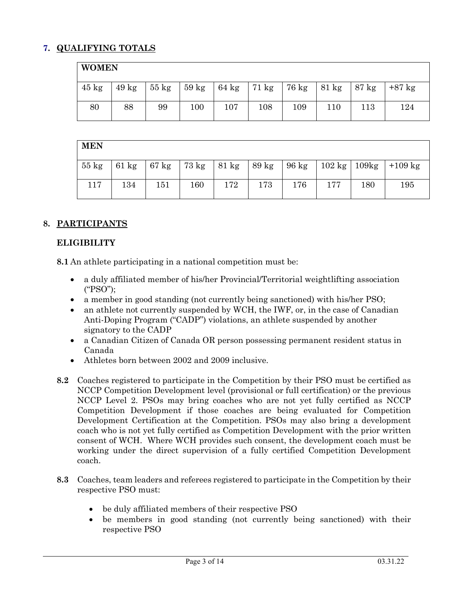## **7. QUALIFYING TOTALS**

## **WOMEN**

| $45 \text{ kg}$ | $49 \text{ kg}$ | $55~\mathrm{kg}$ | $59 \text{ kg}$ |     | $64 \text{ kg}$ 71 kg 76 kg |     | 81 kg   87 kg |     | $+87$ kg |
|-----------------|-----------------|------------------|-----------------|-----|-----------------------------|-----|---------------|-----|----------|
|                 |                 |                  |                 |     |                             |     |               |     |          |
| 80              | 88              | 99               | 100             | 107 | 108                         | 109 | 110           | 113 | 124      |
|                 |                 |                  |                 |     |                             |     |               |     |          |

#### **MEN**

| $55 \text{ kg}$ |     |     | 61 kg   67 kg   73 kg   81 kg |     |     |     |     |     | 89 kg   96 kg   102 kg   109 kg   +109 kg |
|-----------------|-----|-----|-------------------------------|-----|-----|-----|-----|-----|-------------------------------------------|
|                 |     |     |                               |     |     |     |     |     |                                           |
|                 |     |     |                               |     |     |     |     |     |                                           |
| 117             | 134 | 151 | 160                           | 172 | 173 | 176 | 177 | 180 | 195                                       |
|                 |     |     |                               |     |     |     |     |     |                                           |
|                 |     |     |                               |     |     |     |     |     |                                           |

## **8. PARTICIPANTS**

## **ELIGIBILITY**

**8.1** An athlete participating in a national competition must be:

- a duly affiliated member of his/her Provincial/Territorial weightlifting association ("PSO");
- a member in good standing (not currently being sanctioned) with his/her PSO;
- an athlete not currently suspended by WCH, the IWF, or, in the case of Canadian Anti-Doping Program ("CADP") violations, an athlete suspended by another signatory to the CADP
- a Canadian Citizen of Canada OR person possessing permanent resident status in Canada
- Athletes born between 2002 and 2009 inclusive.
- **8.2** Coaches registered to participate in the Competition by their PSO must be certified as NCCP Competition Development level (provisional or full certification) or the previous NCCP Level 2. PSOs may bring coaches who are not yet fully certified as NCCP Competition Development if those coaches are being evaluated for Competition Development Certification at the Competition. PSOs may also bring a development coach who is not yet fully certified as Competition Development with the prior written consent of WCH. Where WCH provides such consent, the development coach must be working under the direct supervision of a fully certified Competition Development coach.
- **8.3** Coaches, team leaders and referees registered to participate in the Competition by their respective PSO must:
	- be duly affiliated members of their respective PSO
	- be members in good standing (not currently being sanctioned) with their respective PSO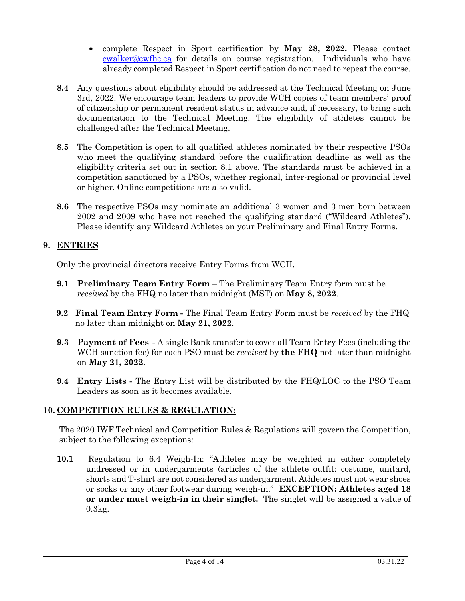- complete Respect in Sport certification by **May 28, 2022.** Please contact [cwalker@cwfhc.ca](mailto:cwalker@cwfhc.ca) for details on course registration. Individuals who have already completed Respect in Sport certification do not need to repeat the course.
- **8.4** Any questions about eligibility should be addressed at the Technical Meeting on June 3rd, 2022. We encourage team leaders to provide WCH copies of team members' proof of citizenship or permanent resident status in advance and, if necessary, to bring such documentation to the Technical Meeting. The eligibility of athletes cannot be challenged after the Technical Meeting.
- **8.5** The Competition is open to all qualified athletes nominated by their respective PSOs who meet the qualifying standard before the qualification deadline as well as the eligibility criteria set out in section 8.1 above. The standards must be achieved in a competition sanctioned by a PSOs, whether regional, inter-regional or provincial level or higher. Online competitions are also valid.
- **8.6** The respective PSOs may nominate an additional 3 women and 3 men born between 2002 and 2009 who have not reached the qualifying standard ("Wildcard Athletes"). Please identify any Wildcard Athletes on your Preliminary and Final Entry Forms.

## **9. ENTRIES**

Only the provincial directors receive Entry Forms from WCH.

- **9.1 Preliminary Team Entry Form**  The Preliminary Team Entry form must be *received* by the FHQ no later than midnight (MST) on **May 8, 2022**.
- **9.2 Final Team Entry Form** The Final Team Entry Form must be *received* by the FHQ no later than midnight on **May 21, 2022**.
- **9.3 Payment of Fees** A single Bank transfer to cover all Team Entry Fees (including the WCH sanction fee) for each PSO must be *received* by **the FHQ** not later than midnight on **May 21, 2022**.
- **9.4 Entry Lists** The Entry List will be distributed by the FHQ/LOC to the PSO Team Leaders as soon as it becomes available.

## **10. COMPETITION RULES & REGULATION:**

The 2020 IWF Technical and Competition Rules & Regulations will govern the Competition, subject to the following exceptions:

**10.1** Regulation to 6.4 Weigh-In: "Athletes may be weighted in either completely undressed or in undergarments (articles of the athlete outfit: costume, unitard, shorts and T-shirt are not considered as undergarment. Athletes must not wear shoes or socks or any other footwear during weigh-in." **EXCEPTION: Athletes aged 18 or under must weigh-in in their singlet.** The singlet will be assigned a value of 0.3kg.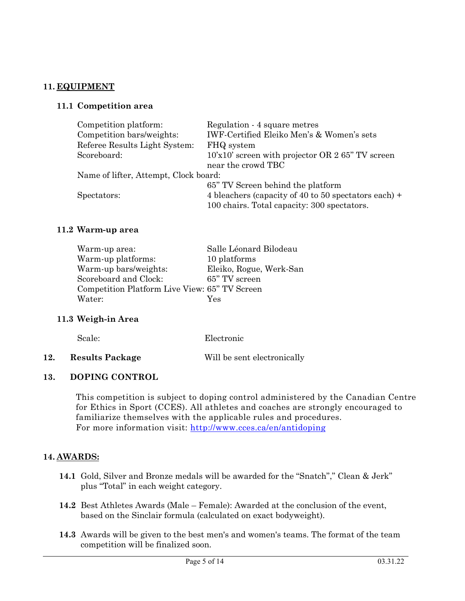## **11. EQUIPMENT**

## **11.1 Competition area**

| Competition platform:                 | Regulation - 4 square metres                         |
|---------------------------------------|------------------------------------------------------|
| Competition bars/weights:             | IWF-Certified Eleiko Men's & Women's sets            |
| Referee Results Light System:         | FHQ system                                           |
| Scoreboard:                           | $10x10$ screen with projector OR 2 65" TV screen     |
|                                       | near the crowd TBC                                   |
| Name of lifter, Attempt, Clock board: |                                                      |
|                                       | 65" TV Screen behind the platform                    |
| Spectators:                           | 4 bleachers (capacity of 40 to 50 spectators each) + |
|                                       | 100 chairs. Total capacity: 300 spectators.          |

## **11.2 Warm-up area**

| Warm-up area:                                 | Salle Léonard Bilodeau  |
|-----------------------------------------------|-------------------------|
| Warm-up platforms:                            | 10 platforms            |
| Warm-up bars/weights:                         | Eleiko, Rogue, Werk-San |
| Scoreboard and Clock:                         | 65" TV screen           |
| Competition Platform Live View: 65" TV Screen |                         |
| Water:                                        | Yes                     |
|                                               |                         |

## **11.3 Weigh-in Area**

| Scale: | Electronic |
|--------|------------|
|        |            |

**12. Results Package** Will be sent electronically

## **13. DOPING CONTROL**

This competition is subject to doping control administered by the Canadian Centre for Ethics in Sport (CCES). All athletes and coaches are strongly encouraged to familiarize themselves with the applicable rules and procedures. For more information visit:<http://www.cces.ca/en/antidoping>

## **14. AWARDS:**

- **14.1** Gold, Silver and Bronze medals will be awarded for the "Snatch"," Clean & Jerk" plus "Total" in each weight category.
- **14.2** Best Athletes Awards (Male Female): Awarded at the conclusion of the event, based on the Sinclair formula (calculated on exact bodyweight).
- **14.3** Awards will be given to the best men's and women's teams. The format of the team competition will be finalized soon.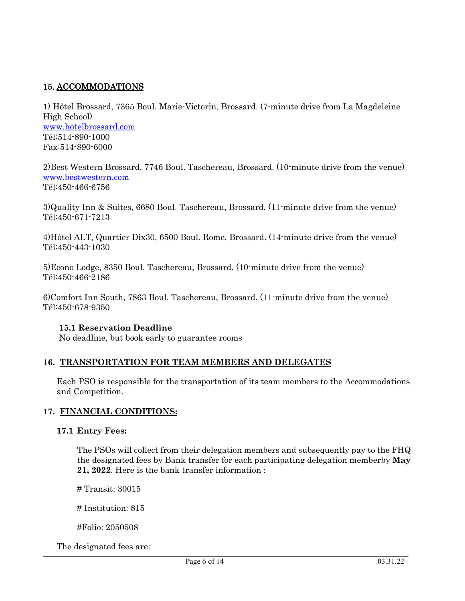## 15. ACCOMMODATIONS

1) Hôtel Brossard, 7365 Boul. Marie-Victorin, Brossard. (7-minute drive from La Magdeleine High School) [www.hotelbrossard.com](http://www.hotelbrossard.com/) Tél:514-890-1000 Fax:514-890-6000

2)Best Western Brossard, 7746 Boul. Taschereau, Brossard. (10-minute drive from the venue) [www.bestwestern.com](http://www.bestwestern.com/) Tél:450-466-6756

3)Quality Inn & Suites, 6680 Boul. Taschereau, Brossard. (11-minute drive from the venue) Tél:450-671-7213

4)Hôtel ALT, Quartier Dix30, 6500 Boul. Rome, Brossard. (14-minute drive from the venue) Tél:450-443-1030

5)Econo Lodge, 8350 Boul. Taschereau, Brossard. (10-minute drive from the venue) Tél:450-466-2186

6)Comfort Inn South, 7863 Boul. Taschereau, Brossard. (11-minute drive from the venue) Tél:450-678-9350

## **15.1 Reservation Deadline**

No deadline, but book early to guarantee rooms

## **16. TRANSPORTATION FOR TEAM MEMBERS AND DELEGATES**

Each PSO is responsible for the transportation of its team members to the Accommodations and Competition.

## **17. FINANCIAL CONDITIONS:**

## **17.1 Entry Fees:**

The PSOs will collect from their delegation members and subsequently pay to the FHQ the designated fees by Bank transfer for each participating delegation memberby **May 21, 2022**. Here is the bank transfer information :

# Transit: 30015

# Institution: 815

#Folio: 2050508

The designated fees are: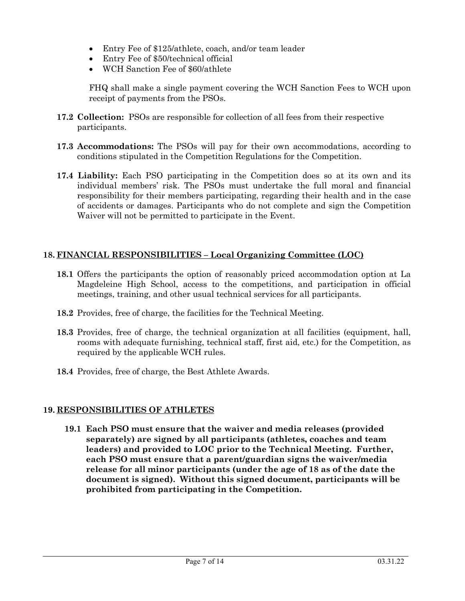- Entry Fee of \$125/athlete, coach, and/or team leader
- Entry Fee of \$50/technical official
- WCH Sanction Fee of \$60/athlete

FHQ shall make a single payment covering the WCH Sanction Fees to WCH upon receipt of payments from the PSOs.

- **17.2 Collection:** PSOs are responsible for collection of all fees from their respective participants.
- **17.3 Accommodations:** The PSOs will pay for their own accommodations, according to conditions stipulated in the Competition Regulations for the Competition.
- **17.4 Liability:** Each PSO participating in the Competition does so at its own and its individual members' risk. The PSOs must undertake the full moral and financial responsibility for their members participating, regarding their health and in the case of accidents or damages. Participants who do not complete and sign the Competition Waiver will not be permitted to participate in the Event.

## **18. FINANCIAL RESPONSIBILITIES – Local Organizing Committee (LOC)**

- **18.1** Offers the participants the option of reasonably priced accommodation option at La Magdeleine High School, access to the competitions, and participation in official meetings, training, and other usual technical services for all participants.
- **18.2** Provides, free of charge, the facilities for the Technical Meeting.
- **18.3** Provides, free of charge, the technical organization at all facilities (equipment, hall, rooms with adequate furnishing, technical staff, first aid, etc.) for the Competition, as required by the applicable WCH rules.
- **18.4** Provides, free of charge, the Best Athlete Awards.

## **19. RESPONSIBILITIES OF ATHLETES**

**19.1 Each PSO must ensure that the waiver and media releases (provided separately) are signed by all participants (athletes, coaches and team leaders) and provided to LOC prior to the Technical Meeting. Further, each PSO must ensure that a parent/guardian signs the waiver/media release for all minor participants (under the age of 18 as of the date the document is signed). Without this signed document, participants will be prohibited from participating in the Competition.**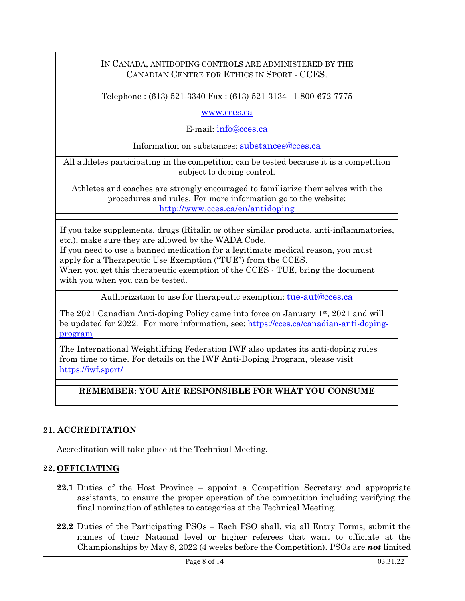## IN CANADA, ANTIDOPING CONTROLS ARE ADMINISTERED BY THE CANADIAN CENTRE FOR ETHICS IN SPORT - CCES.

Telephone : (613) 521-3340 Fax : (613) 521-3134 1-800-672-7775

[www.cces.ca](http://www.cces.ca/)

E-mail: [info@cces.ca](mailto:info@cces.ca)

Information on substances: [substances@cces.ca](mailto:substances@cces.ca)

All athletes participating in the competition can be tested because it is a competition subject to doping control.

Athletes and coaches are strongly encouraged to familiarize themselves with the procedures and rules. For more information go to the website: <http://www.cces.ca/en/antidoping>

If you take supplements, drugs (Ritalin or other similar products, anti-inflammatories, etc.), make sure they are allowed by the WADA Code.

If you need to use a banned medication for a legitimate medical reason, you must apply for a Therapeutic Use Exemption ("TUE") from the CCES.

When you get this therapeutic exemption of the CCES - TUE, bring the document with you when you can be tested.

Authorization to use for therapeutic exemption: [tue-aut@cces.ca](mailto:tue-aut@cces.ca)

The 2021 Canadian Anti-doping Policy came into force on January  $1<sup>st</sup>$ , 2021 and will be updated for 2022. For more information, see: [https://cces.ca/canadian-anti-doping](https://cces.ca/canadian-anti-doping-program)[program](https://cces.ca/canadian-anti-doping-program)

The International Weightlifting Federation IWF also updates its anti-doping rules from time to time. For details on the IWF Anti-Doping Program, please visit <https://iwf.sport/>

## **REMEMBER: YOU ARE RESPONSIBLE FOR WHAT YOU CONSUME**

## **21. ACCREDITATION**

Accreditation will take place at the Technical Meeting.

## **22. OFFICIATING**

- **22.1** Duties of the Host Province appoint a Competition Secretary and appropriate assistants, to ensure the proper operation of the competition including verifying the final nomination of athletes to categories at the Technical Meeting.
- **22.2** Duties of the Participating PSOs Each PSO shall, via all Entry Forms, submit the names of their National level or higher referees that want to officiate at the Championships by May 8, 2022 (4 weeks before the Competition). PSOs are *not* limited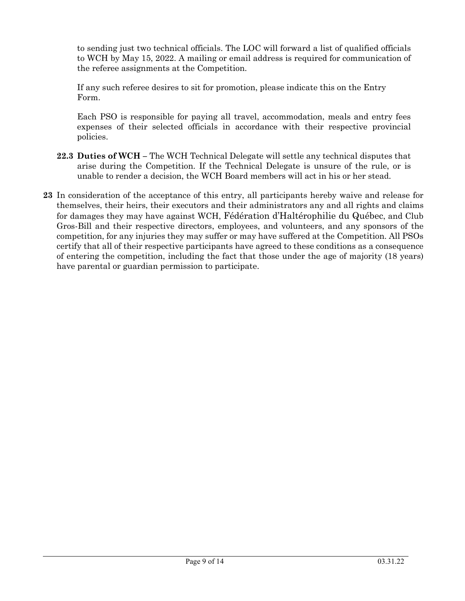to sending just two technical officials. The LOC will forward a list of qualified officials to WCH by May 15, 2022. A mailing or email address is required for communication of the referee assignments at the Competition.

If any such referee desires to sit for promotion, please indicate this on the Entry Form.

Each PSO is responsible for paying all travel, accommodation, meals and entry fees expenses of their selected officials in accordance with their respective provincial policies.

- **22.3 Duties of WCH –** The WCH Technical Delegate will settle any technical disputes that arise during the Competition. If the Technical Delegate is unsure of the rule, or is unable to render a decision, the WCH Board members will act in his or her stead.
- **23** In consideration of the acceptance of this entry, all participants hereby waive and release for themselves, their heirs, their executors and their administrators any and all rights and claims for damages they may have against WCH, Fédération d'Haltérophilie du Québec, and Club Gros-Bill and their respective directors, employees, and volunteers, and any sponsors of the competition, for any injuries they may suffer or may have suffered at the Competition. All PSOs certify that all of their respective participants have agreed to these conditions as a consequence of entering the competition, including the fact that those under the age of majority (18 years) have parental or guardian permission to participate.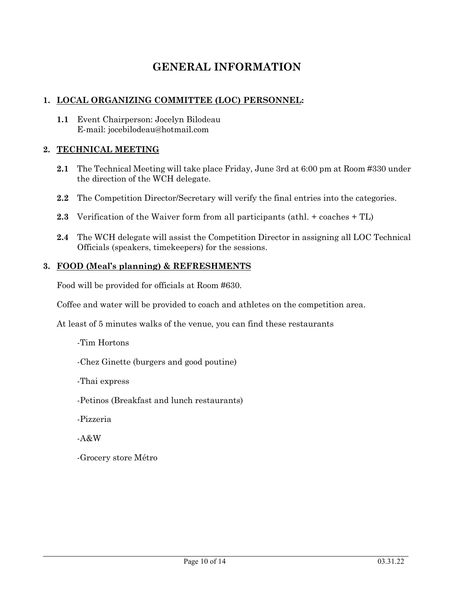## **GENERAL INFORMATION**

## **1. LOCAL ORGANIZING COMMITTEE (LOC) PERSONNEL:**

**1.1** Event Chairperson: Jocelyn Bilodeau E-mail: jocebilodeau@hotmail.com

## **2. TECHNICAL MEETING**

- **2.1** The Technical Meeting will take place Friday, June 3rd at 6:00 pm at Room #330 under the direction of the WCH delegate.
- **2.2** The Competition Director/Secretary will verify the final entries into the categories.
- **2.3** Verification of the Waiver form from all participants (athl. + coaches + TL)
- **2.4** The WCH delegate will assist the Competition Director in assigning all LOC Technical Officials (speakers, timekeepers) for the sessions.

## **3. FOOD (Meal's planning) & REFRESHMENTS**

Food will be provided for officials at Room #630.

Coffee and water will be provided to coach and athletes on the competition area.

At least of 5 minutes walks of the venue, you can find these restaurants

-Tim Hortons

-Chez Ginette (burgers and good poutine)

-Thai express

-Petinos (Breakfast and lunch restaurants)

-Pizzeria

-A&W

-Grocery store Métro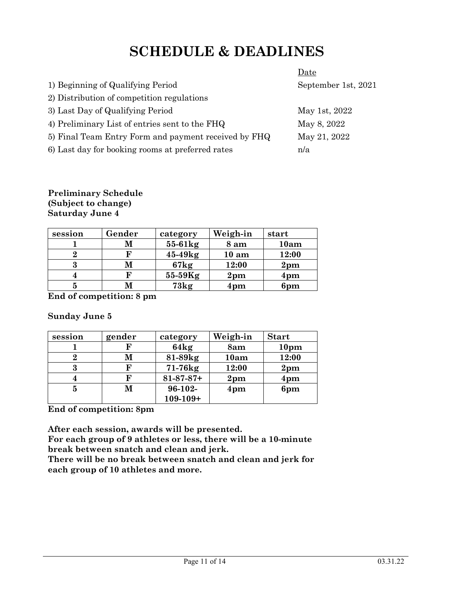## **SCHEDULE & DEADLINES**

|                                                      | Date                |
|------------------------------------------------------|---------------------|
| 1) Beginning of Qualifying Period                    | September 1st, 2021 |
| 2) Distribution of competition regulations           |                     |
| 3) Last Day of Qualifying Period                     | May 1st, 2022       |
| 4) Preliminary List of entries sent to the FHQ       | May 8, 2022         |
| 5) Final Team Entry Form and payment received by FHQ | May 21, 2022        |
| 6) Last day for booking rooms at preferred rates     | n/a                 |

#### **Preliminary Schedule (Subject to change) Saturday June 4**

| session | Gender | category  | Weigh-in         | start         |
|---------|--------|-----------|------------------|---------------|
|         | М      | $55-61kg$ | 8 am             | 10am          |
|         | F      | 45-49kg   | 10 <sub>am</sub> | 12:00         |
| 3       | М      | 67kg      | 12:00            | $2 \text{pm}$ |
|         | F      | $55-59Kg$ | $2 \text{pm}$    | 4pm           |
|         | M      | 73kg      | 4pm              | 6pm           |

**End of competition: 8 pm**

## **Sunday June 5**

| session | gender | category         | Weigh-in        | <b>Start</b>     |
|---------|--------|------------------|-----------------|------------------|
|         | F      | 64kg             | 8am             | 10 <sub>pm</sub> |
|         | М      | 81-89kg          | 10am            | 12:00            |
| 3       | F      | $71-76$ $kg$     | 12:00           | $2 \text{pm}$    |
|         | F      | $81 - 87 - 87 +$ | 2 <sub>pm</sub> | $4 \text{pm}$    |
| 5       | М      | $96-102-$        | 4 <sub>pm</sub> | 6pm              |
|         |        | $109 - 109 +$    |                 |                  |

**End of competition: 8pm**

**After each session, awards will be presented.** 

**For each group of 9 athletes or less, there will be a 10-minute break between snatch and clean and jerk.**

**There will be no break between snatch and clean and jerk for each group of 10 athletes and more.**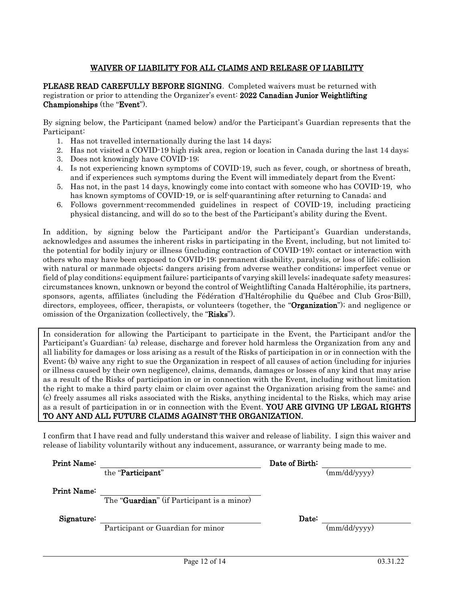#### WAIVER OF LIABILITY FOR ALL CLAIMS AND RELEASE OF LIABILITY

PLEASE READ CAREFULLY BEFORE SIGNING. Completed waivers must be returned with registration or prior to attending the Organizer's event: 2022 Canadian Junior Weightlifting Championships (the "Event").

By signing below, the Participant (named below) and/or the Participant's Guardian represents that the Participant:

- 1. Has not travelled internationally during the last 14 days;
- 2. Has not visited a COVID-19 high risk area, region or location in Canada during the last 14 days;
- 3. Does not knowingly have COVID-19;
- 4. Is not experiencing known symptoms of COVID-19, such as fever, cough, or shortness of breath, and if experiences such symptoms during the Event will immediately depart from the Event;
- 5. Has not, in the past 14 days, knowingly come into contact with someone who has COVID-19, who has known symptoms of COVID-19, or is self-quarantining after returning to Canada; and
- 6. Follows government-recommended guidelines in respect of COVID-19, including practicing physical distancing, and will do so to the best of the Participant's ability during the Event.

In addition, by signing below the Participant and/or the Participant's Guardian understands, acknowledges and assumes the inherent risks in participating in the Event, including, but not limited to: the potential for bodily injury or illness (including contraction of COVID-19); contact or interaction with others who may have been exposed to COVID-19; permanent disability, paralysis, or loss of life; collision with natural or manmade objects; dangers arising from adverse weather conditions; imperfect venue or field of play conditions; equipment failure; participants of varying skill levels; inadequate safety measures; circumstances known, unknown or beyond the control of Weightlifting Canada Haltérophilie, its partners, sponsors, agents, affiliates (including the Fédération d'Haltérophilie du Québec and Club Gros-Bill), directors, employees, officer, therapists, or volunteers (together, the "**Organization**"); and negligence or omission of the Organization (collectively, the "Risks").

In consideration for allowing the Participant to participate in the Event, the Participant and/or the Participant's Guardian: (a) release, discharge and forever hold harmless the Organization from any and all liability for damages or loss arising as a result of the Risks of participation in or in connection with the Event; (b) waive any right to sue the Organization in respect of all causes of action (including for injuries or illness caused by their own negligence), claims, demands, damages or losses of any kind that may arise as a result of the Risks of participation in or in connection with the Event, including without limitation the right to make a third party claim or claim over against the Organization arising from the same; and (c) freely assumes all risks associated with the Risks, anything incidental to the Risks, which may arise as a result of participation in or in connection with the Event. YOU ARE GIVING UP LEGAL RIGHTS TO ANY AND ALL FUTURE CLAIMS AGAINST THE ORGANIZATION.

I confirm that I have read and fully understand this waiver and release of liability. I sign this waiver and release of liability voluntarily without any inducement, assurance, or warranty being made to me.

| Print Name: |                                                     | Date of Birth: |              |
|-------------|-----------------------------------------------------|----------------|--------------|
|             | the "Participant"                                   |                | (mm/dd/yyyy) |
| Print Name: | The " <b>Guardian</b> " (if Participant is a minor) |                |              |
| Signature:  |                                                     | Date:          |              |
|             | Participant or Guardian for minor                   |                | (mm/dd/yyyy) |
|             |                                                     |                |              |
|             |                                                     |                |              |